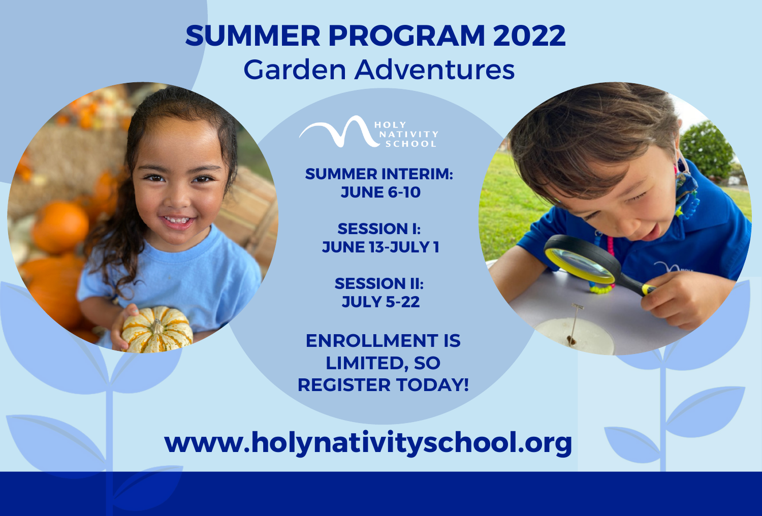## **SUMMER PROGRAM 2022** Garden Adventures





**SUMMER INTERIM: JUNE 6-10**

> **SESSION I: JUNE 13-JULY 1**

> > **SESSION II: JULY 5-22**

**ENROLLMENT IS LIMITED, SO REGISTER TODAY!**

**www.holynativityschool.org**

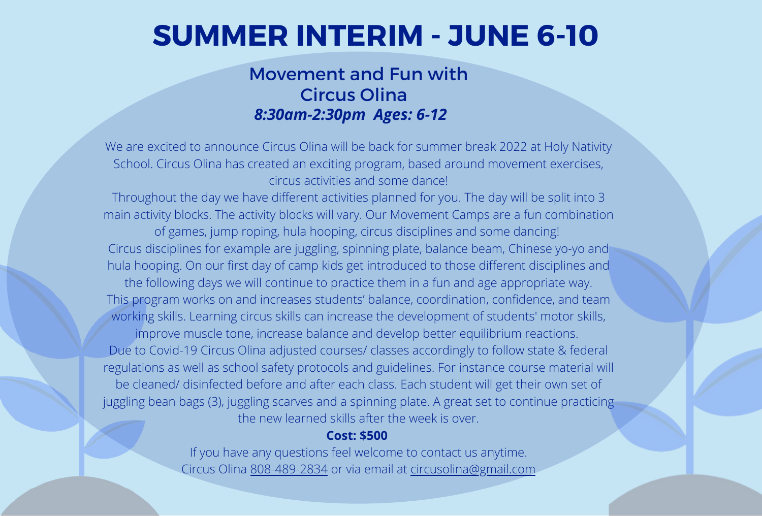## **SUMMER INTERIM - JUNE 6-10**

### Movement and Fun with Circus Olina *8:30am-2:30pm Ages: 6-12*

We are excited to announce Circus Olina will be back for summer break 2022 at Holy Nativity School. Circus Olina has created an exciting program, based around movement exercises, circus activities and some dance!

Throughout the day we have different activities planned for you. The day will be split into 3 main activity blocks. The activity blocks will vary. Our Movement Camps are a fun combination of games, jump roping, hula hooping, circus disciplines and some dancing! Circus disciplines for example are juggling, spinning plate, balance beam, Chinese yo-yo and hula hooping. On our first day of camp kids get introduced to those different disciplines and the following days we will continue to practice them in a fun and age appropriate way. This program works on and increases students' balance, coordination, confidence, and team working skills. Learning circus skills can increase the development of students' motor skills, improve muscle tone, increase balance and develop better equilibrium reactions. Due to Covid-19 Circus Olina adjusted courses/ classes accordingly to follow state & federal regulations as well as school safety protocols and guidelines. For instance course material will be cleaned/ disinfected before and after each class. Each student will get their own set of juggling bean bags (3), juggling scarves and a spinning plate. A great set to continue practicing the new learned skills after the week is over.

### **Cost: \$500**

If you have any questions feel welcome to contact us anytime. Circus Olina 808-489-2834 or via email at circusolina@gmail.com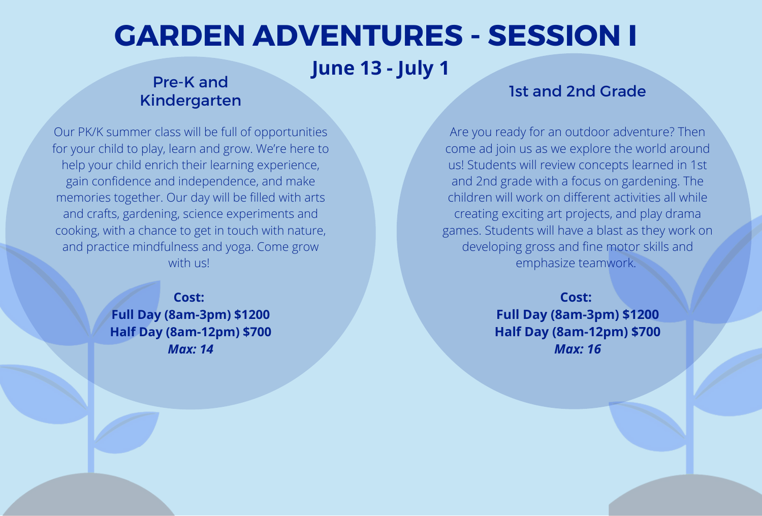## **GARDEN ADVENTURES - SESSION I**

**June 13 - July 1**

### Pre-K and Kindergarten

### 1st and 2nd Grade

Our PK/K summer class will be full of opportunities for your child to play, learn and grow. We're here to help your child enrich their learning experience, gain confidence and independence, and make memories together. Our day will be filled with arts and crafts, gardening, science experiments and cooking, with a chance to get in touch with nature, and practice mindfulness and yoga. Come grow with us!

> **Cost: Full Day (8am-3pm) \$1200 Half Day (8am-12pm) \$700** *Max: 14*

Are you ready for an outdoor adventure? Then come ad join us as we explore the world around us! Students will review concepts learned in 1st and 2nd grade with a focus on gardening. The children will work on different activities all while creating exciting art projects, and play drama games. Students will have a blast as they work on developing gross and fine motor skills and emphasize teamwork.

> **Cost: Full Day (8am-3pm) \$1200 Half Day (8am-12pm) \$700** *Max: 16*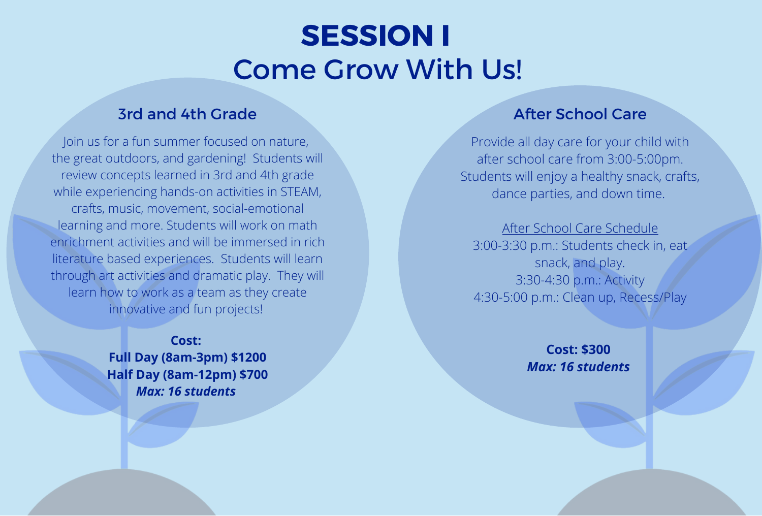## **SESSION I** Come Grow With Us!

### **3rd and 4th Grade After School Care**

Join us for a fun summer focused on nature, the great outdoors, and gardening! Students will review concepts learned in 3rd and 4th grade while experiencing hands-on activities in STEAM, crafts, music, movement, social-emotional learning and more. Students will work on math enrichment activities and will be immersed in rich literature based experiences. Students will learn through art activities and dramatic play. They will learn how to work as a team as they create innovative and fun projects!

> **Cost: Full Day (8am-3pm) \$1200 Half Day (8am-12pm) \$700** *Max: 16 students*

Provide all day care for your child with after school care from 3:00-5:00pm. Students will enjoy a healthy snack, crafts, dance parties, and down time.

After School Care Schedule 3:00-3:30 p.m.: Students check in, eat snack, and play. 3:30-4:30 p.m.: Activity 4:30-5:00 p.m.: Clean up, Recess/Play

> **Cost: \$300** *Max: 16 students*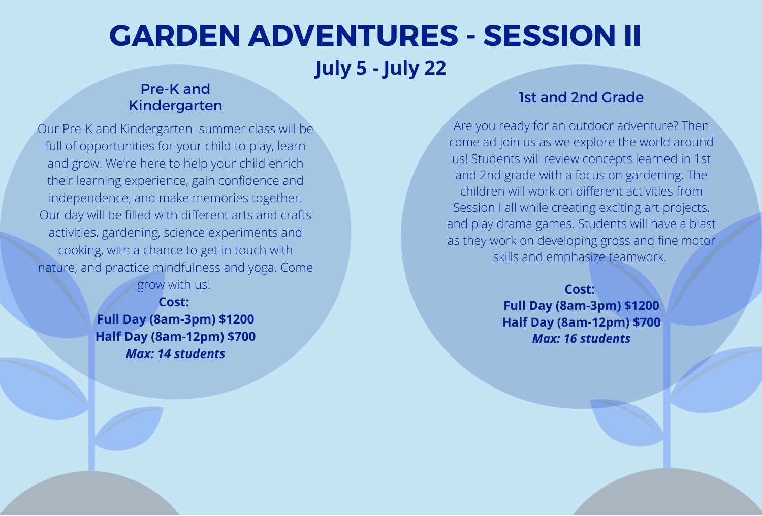# **GARDEN ADVENTURES - SESSION II**

## **July 5 - July 22**

### Pre-K and Kindergarten

Our Pre-K and Kindergarten summer class will be full of opportunities for your child to play, learn and grow. We're here to help your child enrich their learning experience, gain confidence and independence, and make memories together. Our day will be filled with different arts and crafts activities, gardening, science experiments and cooking, with a chance to get in touch with nature, and practice mindfulness and yoga. Come grow with us!

> **Cost: Full Day (8am-3pm) \$1200 Half Day (8am-12pm) \$700** *Max: 14 students*

### 1st and 2nd Grade

Are you ready for an outdoor adventure? Then come ad join us as we explore the world around us! Students will review concepts learned in 1st and 2nd grade with a focus on gardening. The children will work on different activities from Session I all while creating exciting art projects, and play drama games. Students will have a blast as they work on developing gross and fine motor skills and emphasize teamwork.

> **Cost: Full Day (8am-3pm) \$1200 Half Day (8am-12pm) \$700** *Max: 16 students*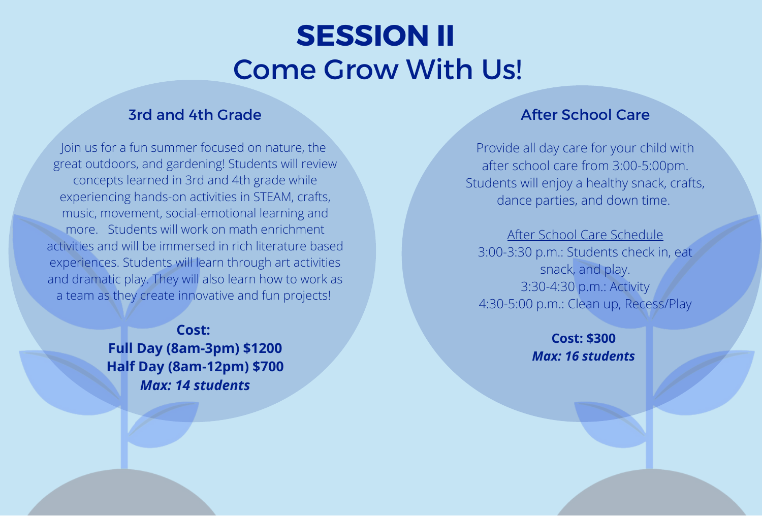## **SESSION II** Come Grow With Us!

### **3rd and 4th Grade After School Care**

Join us for a fun summer focused on nature, the great outdoors, and gardening! Students will review concepts learned in 3rd and 4th grade while experiencing hands-on activities in STEAM, crafts, music, movement, social-emotional learning and more. Students will work on math enrichment activities and will be immersed in rich literature based experiences. Students will learn through art activities and dramatic play. They will also learn how to work as a team as they create innovative and fun projects!

> **Cost: Full Day (8am-3pm) \$1200 Half Day (8am-12pm) \$700** *Max: 14 students*

Provide all day care for your child with after school care from 3:00-5:00pm. Students will enjoy a healthy snack, crafts, dance parties, and down time.

After School Care Schedule 3:00-3:30 p.m.: Students check in, eat snack, and play. 3:30-4:30 p.m.: Activity 4:30-5:00 p.m.: Clean up, Recess/Play

> **Cost: \$300** *Max: 16 students*